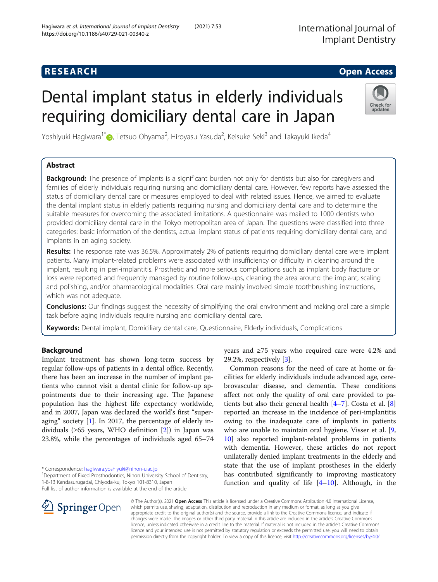International Journal of Implant Dentistry

## **RESEARCH CHE Open Access**

# Dental implant status in elderly individuals requiring domiciliary dental care in Japan



Yoshiyuki Hagiwara<sup>1[\\*](http://orcid.org/0000-0001-6647-7969)</sup>@, Tetsuo Ohyama<sup>2</sup>, Hiroyasu Yasuda<sup>2</sup>, Keisuke Seki<sup>3</sup> and Takayuki Ikeda<sup>4</sup>

## Abstract

**Background:** The presence of implants is a significant burden not only for dentists but also for caregivers and families of elderly individuals requiring nursing and domiciliary dental care. However, few reports have assessed the status of domiciliary dental care or measures employed to deal with related issues. Hence, we aimed to evaluate the dental implant status in elderly patients requiring nursing and domiciliary dental care and to determine the suitable measures for overcoming the associated limitations. A questionnaire was mailed to 1000 dentists who provided domiciliary dental care in the Tokyo metropolitan area of Japan. The questions were classified into three categories: basic information of the dentists, actual implant status of patients requiring domiciliary dental care, and implants in an aging society.

Results: The response rate was 36.5%. Approximately 2% of patients requiring domiciliary dental care were implant patients. Many implant-related problems were associated with insufficiency or difficulty in cleaning around the implant, resulting in peri-implantitis. Prosthetic and more serious complications such as implant body fracture or loss were reported and frequently managed by routine follow-ups, cleaning the area around the implant, scaling and polishing, and/or pharmacological modalities. Oral care mainly involved simple toothbrushing instructions, which was not adequate.

**Conclusions:** Our findings suggest the necessity of simplifying the oral environment and making oral care a simple task before aging individuals require nursing and domiciliary dental care.

Keywords: Dental implant, Domiciliary dental care, Questionnaire, Elderly individuals, Complications

## Background

Implant treatment has shown long-term success by regular follow-ups of patients in a dental office. Recently, there has been an increase in the number of implant patients who cannot visit a dental clinic for follow-up appointments due to their increasing age. The Japanese population has the highest life expectancy worldwide, and in 2007, Japan was declared the world's first "superaging" society [\[1](#page-6-0)]. In 2017, the percentage of elderly individuals ( $\geq 65$  years, WHO definition [[2\]](#page-6-0)) in Japan was 23.8%, while the percentages of individuals aged 65–74

\* Correspondence: [hagiwara.yoshiyuki@nihon-u.ac.jp](mailto:hagiwara.yoshiyuki@nihon-u.ac.jp) <sup>1</sup>

Full list of author information is available at the end of the article

years and ≥75 years who required care were 4.2% and 29.2%, respectively [\[3\]](#page-6-0).

Common reasons for the need of care at home or facilities for elderly individuals include advanced age, cerebrovascular disease, and dementia. These conditions affect not only the quality of oral care provided to patients but also their general health  $[4–7]$  $[4–7]$  $[4–7]$  $[4–7]$ . Costa et al.  $[8]$  $[8]$ reported an increase in the incidence of peri-implantitis owing to the inadequate care of implants in patients who are unable to maintain oral hygiene. Visser et al. [\[9](#page-6-0), [10\]](#page-6-0) also reported implant-related problems in patients with dementia. However, these articles do not report unilaterally denied implant treatments in the elderly and state that the use of implant prostheses in the elderly has contributed significantly to improving masticatory function and quality of life [[4](#page-6-0)–[10\]](#page-6-0). Although, in the



© The Author(s). 2021 Open Access This article is licensed under a Creative Commons Attribution 4.0 International License, which permits use, sharing, adaptation, distribution and reproduction in any medium or format, as long as you give appropriate credit to the original author(s) and the source, provide a link to the Creative Commons licence, and indicate if changes were made. The images or other third party material in this article are included in the article's Creative Commons licence, unless indicated otherwise in a credit line to the material. If material is not included in the article's Creative Commons licence and your intended use is not permitted by statutory regulation or exceeds the permitted use, you will need to obtain permission directly from the copyright holder. To view a copy of this licence, visit <http://creativecommons.org/licenses/by/4.0/>.

<sup>&</sup>lt;sup>1</sup> Department of Fixed Prosthodontics, Nihon University School of Dentistry, 1-8-13 Kandasurugadai, Chiyoda-ku, Tokyo 101-8310, Japan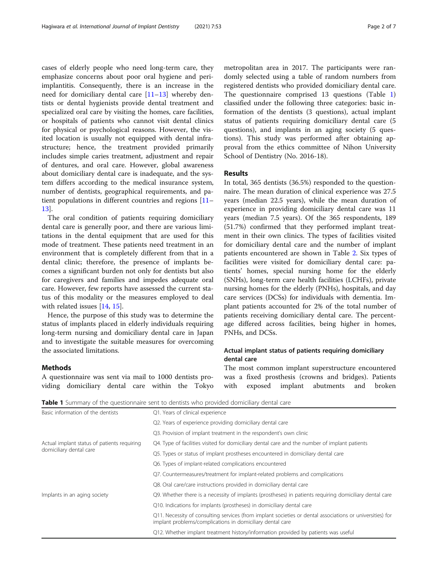cases of elderly people who need long-term care, they emphasize concerns about poor oral hygiene and periimplantitis. Consequently, there is an increase in the need for domiciliary dental care [\[11](#page-6-0)–[13\]](#page-6-0) whereby dentists or dental hygienists provide dental treatment and specialized oral care by visiting the homes, care facilities, or hospitals of patients who cannot visit dental clinics for physical or psychological reasons. However, the visited location is usually not equipped with dental infrastructure; hence, the treatment provided primarily includes simple caries treatment, adjustment and repair of dentures, and oral care. However, global awareness about domiciliary dental care is inadequate, and the system differs according to the medical insurance system, number of dentists, geographical requirements, and patient populations in different countries and regions [[11](#page-6-0)– [13\]](#page-6-0).

The oral condition of patients requiring domiciliary dental care is generally poor, and there are various limitations in the dental equipment that are used for this mode of treatment. These patients need treatment in an environment that is completely different from that in a dental clinic; therefore, the presence of implants becomes a significant burden not only for dentists but also for caregivers and families and impedes adequate oral care. However, few reports have assessed the current status of this modality or the measures employed to deal with related issues [\[14,](#page-6-0) [15\]](#page-6-0).

Hence, the purpose of this study was to determine the status of implants placed in elderly individuals requiring long-term nursing and domiciliary dental care in Japan and to investigate the suitable measures for overcoming the associated limitations.

## metropolitan area in 2017. The participants were randomly selected using a table of random numbers from registered dentists who provided domiciliary dental care. The questionnaire comprised 13 questions (Table 1) classified under the following three categories: basic information of the dentists (3 questions), actual implant status of patients requiring domiciliary dental care (5 questions), and implants in an aging society (5 questions). This study was performed after obtaining approval from the ethics committee of Nihon University School of Dentistry (No. 2016-18).

#### Results

In total, 365 dentists (36.5%) responded to the questionnaire. The mean duration of clinical experience was 27.5 years (median 22.5 years), while the mean duration of experience in providing domiciliary dental care was 11 years (median 7.5 years). Of the 365 respondents, 189 (51.7%) confirmed that they performed implant treatment in their own clinics. The types of facilities visited for domiciliary dental care and the number of implant patients encountered are shown in Table [2](#page-2-0). Six types of facilities were visited for domiciliary dental care: patients' homes, special nursing home for the elderly (SNHs), long-term care health facilities (LCHFs), private nursing homes for the elderly (PNHs), hospitals, and day care services (DCSs) for individuals with dementia. Implant patients accounted for 2% of the total number of patients receiving domiciliary dental care. The percentage differed across facilities, being higher in homes, PNHs, and DCSs.

## Actual implant status of patients requiring domiciliary dental care

The most common implant superstructure encountered was a fixed prosthesis (crowns and bridges). Patients with exposed implant abutments and broken

| Methods |  |
|---------|--|
|---------|--|

A questionnaire was sent via mail to 1000 dentists providing domiciliary dental care within the Tokyo

| Basic information of the dentists<br>Q1. Years of clinical experience<br>Q2. Years of experience providing domiciliary dental care<br>Q3. Provision of implant treatment in the respondent's own clinic<br>Q4. Type of facilities visited for domiciliary dental care and the number of implant patients<br>Actual implant status of patients requiring<br>domiciliary dental care<br>Q5. Types or status of implant prostheses encountered in domiciliary dental care<br>Q6. Types of implant-related complications encountered<br>Q7. Countermeasures/treatment for implant-related problems and complications<br>Q8. Oral care/care instructions provided in domiciliary dental care<br>Q9. Whether there is a necessity of implants (prostheses) in patients requiring domiciliary dental care<br>Implants in an aging society |
|------------------------------------------------------------------------------------------------------------------------------------------------------------------------------------------------------------------------------------------------------------------------------------------------------------------------------------------------------------------------------------------------------------------------------------------------------------------------------------------------------------------------------------------------------------------------------------------------------------------------------------------------------------------------------------------------------------------------------------------------------------------------------------------------------------------------------------|
|                                                                                                                                                                                                                                                                                                                                                                                                                                                                                                                                                                                                                                                                                                                                                                                                                                    |
|                                                                                                                                                                                                                                                                                                                                                                                                                                                                                                                                                                                                                                                                                                                                                                                                                                    |
|                                                                                                                                                                                                                                                                                                                                                                                                                                                                                                                                                                                                                                                                                                                                                                                                                                    |
|                                                                                                                                                                                                                                                                                                                                                                                                                                                                                                                                                                                                                                                                                                                                                                                                                                    |
|                                                                                                                                                                                                                                                                                                                                                                                                                                                                                                                                                                                                                                                                                                                                                                                                                                    |
|                                                                                                                                                                                                                                                                                                                                                                                                                                                                                                                                                                                                                                                                                                                                                                                                                                    |
|                                                                                                                                                                                                                                                                                                                                                                                                                                                                                                                                                                                                                                                                                                                                                                                                                                    |
|                                                                                                                                                                                                                                                                                                                                                                                                                                                                                                                                                                                                                                                                                                                                                                                                                                    |
|                                                                                                                                                                                                                                                                                                                                                                                                                                                                                                                                                                                                                                                                                                                                                                                                                                    |
| Q10. Indications for implants (prostheses) in domiciliary dental care                                                                                                                                                                                                                                                                                                                                                                                                                                                                                                                                                                                                                                                                                                                                                              |
| Q11. Necessity of consulting services (from implant societies or dental associations or universities) for<br>implant problems/complications in domiciliary dental care                                                                                                                                                                                                                                                                                                                                                                                                                                                                                                                                                                                                                                                             |
| Q12. Whether implant treatment history/information provided by patients was useful                                                                                                                                                                                                                                                                                                                                                                                                                                                                                                                                                                                                                                                                                                                                                 |

Table 1 Summary of the questionnaire sent to dentists who provided domiciliary dental care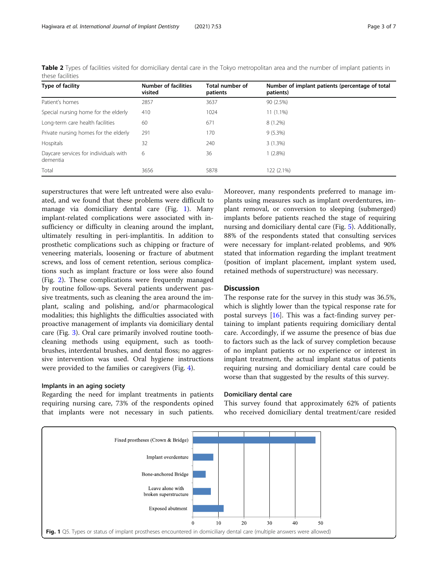| Type of facility                                  | <b>Number of facilities</b><br>visited | Total number of<br>patients | Number of implant patients (percentage of total<br>patients) |
|---------------------------------------------------|----------------------------------------|-----------------------------|--------------------------------------------------------------|
| Patient's homes                                   | 2857                                   | 3637                        | 90 (2.5%)                                                    |
| Special nursing home for the elderly              | 410                                    | 1024                        | $11(1.1\%)$                                                  |
| Long-term care health facilities                  | 60                                     | 671                         | $8(1.2\%)$                                                   |
| Private nursing homes for the elderly             | 291                                    | 170                         | $9(5.3\%)$                                                   |
| Hospitals                                         | 32                                     | 240                         | 3(1.3%)                                                      |
| Daycare services for individuals with<br>dementia | 6                                      | 36                          | $1(2.8\%)$                                                   |
| Total                                             | 3656                                   | 5878                        | 122 (2.1%)                                                   |

<span id="page-2-0"></span>Table 2 Types of facilities visited for domiciliary dental care in the Tokyo metropolitan area and the number of implant patients in these facilities

superstructures that were left untreated were also evaluated, and we found that these problems were difficult to manage via domiciliary dental care (Fig. 1). Many implant-related complications were associated with insufficiency or difficulty in cleaning around the implant, ultimately resulting in peri-implantitis. In addition to prosthetic complications such as chipping or fracture of veneering materials, loosening or fracture of abutment screws, and loss of cement retention, serious complications such as implant fracture or loss were also found (Fig. [2\)](#page-3-0). These complications were frequently managed by routine follow-ups. Several patients underwent passive treatments, such as cleaning the area around the implant, scaling and polishing, and/or pharmacological modalities; this highlights the difficulties associated with proactive management of implants via domiciliary dental care (Fig. [3](#page-3-0)). Oral care primarily involved routine toothcleaning methods using equipment, such as toothbrushes, interdental brushes, and dental floss; no aggressive intervention was used. Oral hygiene instructions were provided to the families or caregivers (Fig. [4\)](#page-4-0).

#### Implants in an aging society

Regarding the need for implant treatments in patients requiring nursing care, 73% of the respondents opined that implants were not necessary in such patients.

Moreover, many respondents preferred to manage implants using measures such as implant overdentures, implant removal, or conversion to sleeping (submerged) implants before patients reached the stage of requiring nursing and domiciliary dental care (Fig. [5](#page-4-0)). Additionally, 88% of the respondents stated that consulting services were necessary for implant-related problems, and 90% stated that information regarding the implant treatment (position of implant placement, implant system used, retained methods of superstructure) was necessary.

## **Discussion**

The response rate for the survey in this study was 36.5%, which is slightly lower than the typical response rate for postal surveys  $[16]$  $[16]$ . This was a fact-finding survey pertaining to implant patients requiring domiciliary dental care. Accordingly, if we assume the presence of bias due to factors such as the lack of survey completion because of no implant patients or no experience or interest in implant treatment, the actual implant status of patients requiring nursing and domiciliary dental care could be worse than that suggested by the results of this survey.

#### Domiciliary dental care

This survey found that approximately 62% of patients who received domiciliary dental treatment/care resided

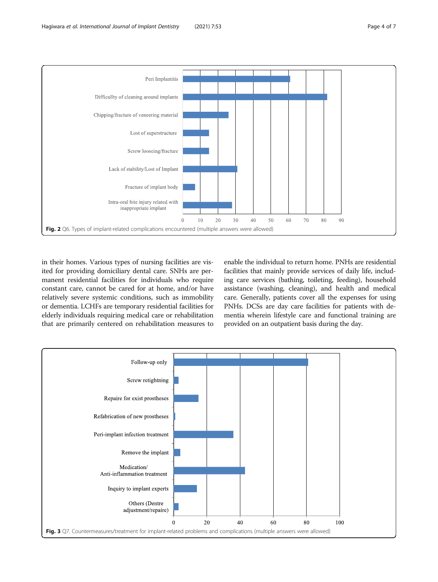<span id="page-3-0"></span>

in their homes. Various types of nursing facilities are visited for providing domiciliary dental care. SNHs are permanent residential facilities for individuals who require constant care, cannot be cared for at home, and/or have relatively severe systemic conditions, such as immobility or dementia. LCHFs are temporary residential facilities for elderly individuals requiring medical care or rehabilitation that are primarily centered on rehabilitation measures to enable the individual to return home. PNHs are residential facilities that mainly provide services of daily life, including care services (bathing, toileting, feeding), household assistance (washing, cleaning), and health and medical care. Generally, patients cover all the expenses for using PNHs. DCSs are day care facilities for patients with dementia wherein lifestyle care and functional training are provided on an outpatient basis during the day.

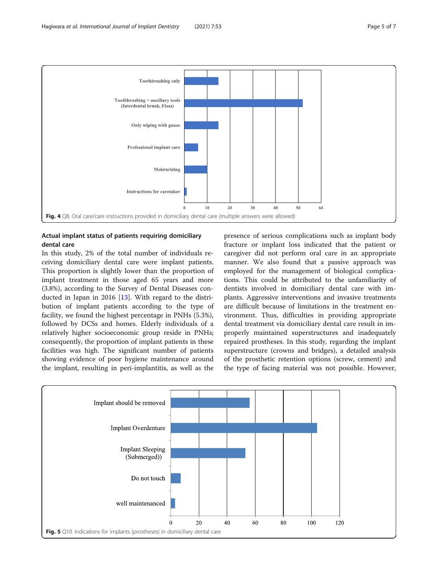<span id="page-4-0"></span>

## Actual implant status of patients requiring domiciliary dental care

In this study, 2% of the total number of individuals receiving domiciliary dental care were implant patients. This proportion is slightly lower than the proportion of implant treatment in those aged 65 years and more (3.8%), according to the Survey of Dental Diseases conducted in Japan in 2016 [\[13\]](#page-6-0). With regard to the distribution of implant patients according to the type of facility, we found the highest percentage in PNHs (5.3%), followed by DCSs and homes. Elderly individuals of a relatively higher socioeconomic group reside in PNHs; consequently, the proportion of implant patients in these facilities was high. The significant number of patients showing evidence of poor hygiene maintenance around the implant, resulting in peri-implantitis, as well as the

presence of serious complications such as implant body fracture or implant loss indicated that the patient or caregiver did not perform oral care in an appropriate manner. We also found that a passive approach was employed for the management of biological complications. This could be attributed to the unfamiliarity of dentists involved in domiciliary dental care with implants. Aggressive interventions and invasive treatments are difficult because of limitations in the treatment environment. Thus, difficulties in providing appropriate dental treatment via domiciliary dental care result in improperly maintained superstructures and inadequately repaired prostheses. In this study, regarding the implant superstructure (crowns and bridges), a detailed analysis of the prosthetic retention options (screw, cement) and the type of facing material was not possible. However,

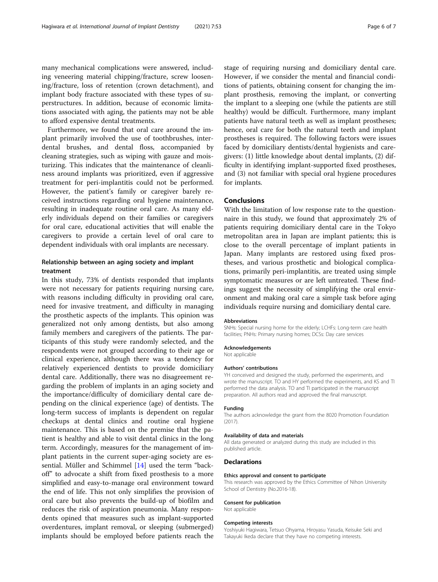many mechanical complications were answered, including veneering material chipping/fracture, screw loosening/fracture, loss of retention (crown detachment), and implant body fracture associated with these types of superstructures. In addition, because of economic limitations associated with aging, the patients may not be able to afford expensive dental treatments.

Furthermore, we found that oral care around the implant primarily involved the use of toothbrushes, interdental brushes, and dental floss, accompanied by cleaning strategies, such as wiping with gauze and moisturizing. This indicates that the maintenance of cleanliness around implants was prioritized, even if aggressive treatment for peri-implantitis could not be performed. However, the patient's family or caregiver barely received instructions regarding oral hygiene maintenance, resulting in inadequate routine oral care. As many elderly individuals depend on their families or caregivers for oral care, educational activities that will enable the caregivers to provide a certain level of oral care to dependent individuals with oral implants are necessary.

### Relationship between an aging society and implant treatment

In this study, 73% of dentists responded that implants were not necessary for patients requiring nursing care, with reasons including difficulty in providing oral care, need for invasive treatment, and difficulty in managing the prosthetic aspects of the implants. This opinion was generalized not only among dentists, but also among family members and caregivers of the patients. The participants of this study were randomly selected, and the respondents were not grouped according to their age or clinical experience, although there was a tendency for relatively experienced dentists to provide domiciliary dental care. Additionally, there was no disagreement regarding the problem of implants in an aging society and the importance/difficulty of domiciliary dental care depending on the clinical experience (age) of dentists. The long-term success of implants is dependent on regular checkups at dental clinics and routine oral hygiene maintenance. This is based on the premise that the patient is healthy and able to visit dental clinics in the long term. Accordingly, measures for the management of implant patients in the current super-aging society are essential. Müller and Schimmel [\[14\]](#page-6-0) used the term "backoff" to advocate a shift from fixed prosthesis to a more simplified and easy-to-manage oral environment toward the end of life. This not only simplifies the provision of oral care but also prevents the build-up of biofilm and reduces the risk of aspiration pneumonia. Many respondents opined that measures such as implant-supported overdentures, implant removal, or sleeping (submerged) implants should be employed before patients reach the

stage of requiring nursing and domiciliary dental care. However, if we consider the mental and financial conditions of patients, obtaining consent for changing the implant prosthesis, removing the implant, or converting the implant to a sleeping one (while the patients are still healthy) would be difficult. Furthermore, many implant patients have natural teeth as well as implant prostheses; hence, oral care for both the natural teeth and implant prostheses is required. The following factors were issues faced by domiciliary dentists/dental hygienists and caregivers: (1) little knowledge about dental implants, (2) difficulty in identifying implant-supported fixed prostheses, and (3) not familiar with special oral hygiene procedures for implants.

#### Conclusions

With the limitation of low response rate to the questionnaire in this study, we found that approximately 2% of patients requiring domiciliary dental care in the Tokyo metropolitan area in Japan are implant patients; this is close to the overall percentage of implant patients in Japan. Many implants are restored using fixed prostheses, and various prosthetic and biological complications, primarily peri-implantitis, are treated using simple symptomatic measures or are left untreated. These findings suggest the necessity of simplifying the oral environment and making oral care a simple task before aging individuals require nursing and domiciliary dental care.

#### Abbreviations

SNHs: Special nursing home for the elderly; LCHFs: Long-term care health facilities; PNHs: Primary nursing homes; DCSs: Day care services

#### Acknowledgements

Not applicable

#### Authors' contributions

YH conceived and designed the study, performed the experiments, and wrote the manuscript. TO and HY performed the experiments, and KS and TI performed the data analysis. TO and TI participated in the manuscript preparation. All authors read and approved the final manuscript.

#### Funding

The authors acknowledge the grant from the 8020 Promotion Foundation (2017).

#### Availability of data and materials

All data generated or analyzed during this study are included in this published article.

#### **Declarations**

#### Ethics approval and consent to participate

This research was approved by the Ethics Committee of Nihon University School of Dentistry (No.2016-18).

#### Consent for publication

Not applicable

#### Competing interests

Yoshiyuki Hagiwara, Tetsuo Ohyama, Hiroyasu Yasuda, Keisuke Seki and Takayuki Ikeda declare that they have no competing interests.